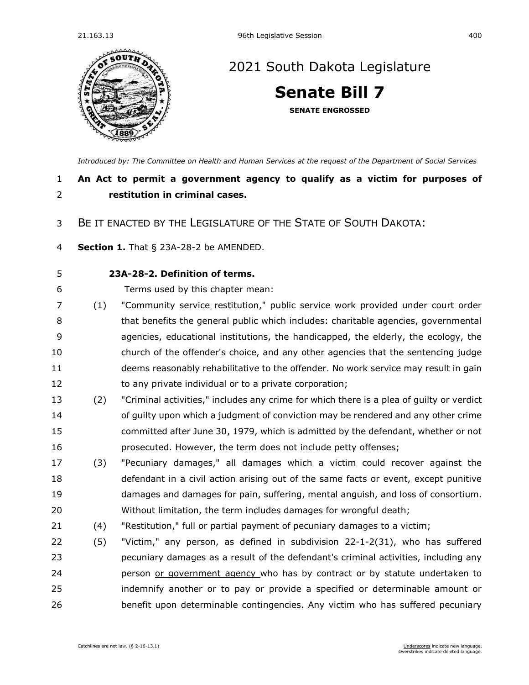

## [2021 South Dakota Legislature](https://sdlegislature.gov/Session/Bills/44)

**[Senate Bill 7](https://sdlegislature.gov/Session/Bill/21880)**

**SENATE ENGROSSED**

*[Introduced by: The Committee on Health and Human Services](https://sdlegislature.gov/Session/Committee/508/Detail) at the request of the Department of Social Services*

## **An Act to permit a government agency to qualify as a victim for purposes of restitution in criminal cases.**

## BE IT ENACTED BY THE LEGISLATURE OF THE STATE OF SOUTH DAKOTA:

**Section 1.** [That § 23A-28-2 be AMENDED.](https://sdlegislature.gov/Statutes/Codified_Laws/DisplayStatute.aspx?Type=Statute&Statute=23A-28-2)

## **[23A-28-2. D](https://sdlegislature.gov/Statutes/Codified_Laws/DisplayStatute.aspx?Type=Statute&Statute=23A-28-2)efinition of terms.**

Terms used by this chapter mean:

- (1) "Community service restitution," public service work provided under court order that benefits the general public which includes: charitable agencies, governmental agencies, educational institutions, the handicapped, the elderly, the ecology, the church of the offender's choice, and any other agencies that the sentencing judge deems reasonably rehabilitative to the offender. No work service may result in gain 12 to any private individual or to a private corporation;
- (2) "Criminal activities," includes any crime for which there is a plea of guilty or verdict of guilty upon which a judgment of conviction may be rendered and any other crime committed after June 30, 1979, which is admitted by the defendant, whether or not prosecuted. However, the term does not include petty offenses;
- (3) "Pecuniary damages," all damages which a victim could recover against the defendant in a civil action arising out of the same facts or event, except punitive damages and damages for pain, suffering, mental anguish, and loss of consortium. Without limitation, the term includes damages for wrongful death;
- (4) "Restitution," full or partial payment of pecuniary damages to a victim;
- (5) "Victim," any person, as defined in subdivision [22-1-2\(](https://sdlegislature.gov/Statutes/Codified_Laws/DisplayStatute.aspx?Type=Statute&Statute=22-1-2)31), who has suffered pecuniary damages as a result of the defendant's criminal activities, including any **person or government agency** who has by contract or by statute undertaken to indemnify another or to pay or provide a specified or determinable amount or benefit upon determinable contingencies. Any victim who has suffered pecuniary